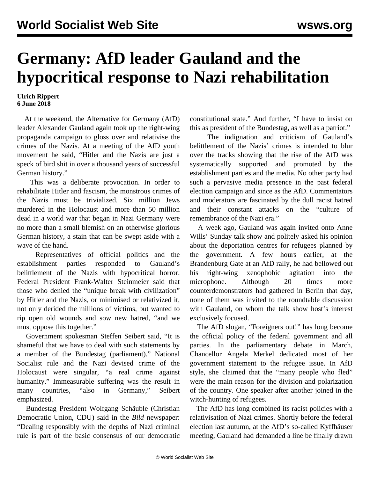## **Germany: AfD leader Gauland and the hypocritical response to Nazi rehabilitation**

## **Ulrich Rippert 6 June 2018**

 At the weekend, the Alternative for Germany (AfD) leader Alexander Gauland again took up the right-wing propaganda campaign to gloss over and relativise the crimes of the Nazis. At a meeting of the AfD youth movement he said, "Hitler and the Nazis are just a speck of bird shit in over a thousand years of successful German history."

 This was a deliberate provocation. In order to rehabilitate Hitler and fascism, the monstrous crimes of the Nazis must be trivialized. Six million Jews murdered in the Holocaust and more than 50 million dead in a world war that began in Nazi Germany were no more than a small blemish on an otherwise glorious German history, a stain that can be swept aside with a wave of the hand.

 Representatives of official politics and the establishment parties responded to Gauland's belittlement of the Nazis with hypocritical horror. Federal President Frank-Walter Steinmeier said that those who denied the "unique break with civilization" by Hitler and the Nazis, or minimised or relativized it, not only derided the millions of victims, but wanted to rip open old wounds and sow new hatred, "and we must oppose this together."

 Government spokesman Steffen Seibert said, "It is shameful that we have to deal with such statements by a member of the Bundestag (parliament)." National Socialist rule and the Nazi devised crime of the Holocaust were singular, "a real crime against humanity." Immeasurable suffering was the result in many countries, "also in Germany," Seibert emphasized.

 Bundestag President Wolfgang Schäuble (Christian Democratic Union, CDU) said in the *Bild* newspaper: "Dealing responsibly with the depths of Nazi criminal rule is part of the basic consensus of our democratic constitutional state." And further, "I have to insist on this as president of the Bundestag, as well as a patriot."

 The indignation and criticism of Gauland's belittlement of the Nazis' crimes is intended to blur over the tracks showing that the rise of the AfD was systematically supported and promoted by the establishment parties and the media. No other party had such a pervasive media presence in the past federal election campaign and since as the AfD. Commentators and moderators are fascinated by the dull racist hatred and their constant attacks on the "culture of remembrance of the Nazi era."

 A week ago, Gauland was again invited onto Anne Wills' Sunday talk show and politely asked his opinion about the deportation centres for refugees planned by the government. A few hours earlier, at the Brandenburg Gate at an AfD rally, he had bellowed out his right-wing xenophobic agitation into the microphone. Although 20 times more counterdemonstrators had gathered in Berlin that day, none of them was invited to the roundtable discussion with Gauland, on whom the talk show host's interest exclusively focused.

 The AfD slogan, "Foreigners out!" has long become the official policy of the federal government and all parties. In the [parliamentary debate](/en/articles/2018/03/24/germ-m24.html) in March, Chancellor Angela Merkel dedicated most of her government statement to the refugee issue. In AfD style, she claimed that the "many people who fled" were the main reason for the division and polarization of the country. One speaker after another joined in the witch-hunting of refugees.

 The AfD has long combined its racist policies with a relativisation of Nazi crimes. Shortly before the federal election last autumn, at the AfD's so-called Kyffhäuser meeting, Gauland had demanded a line be finally drawn